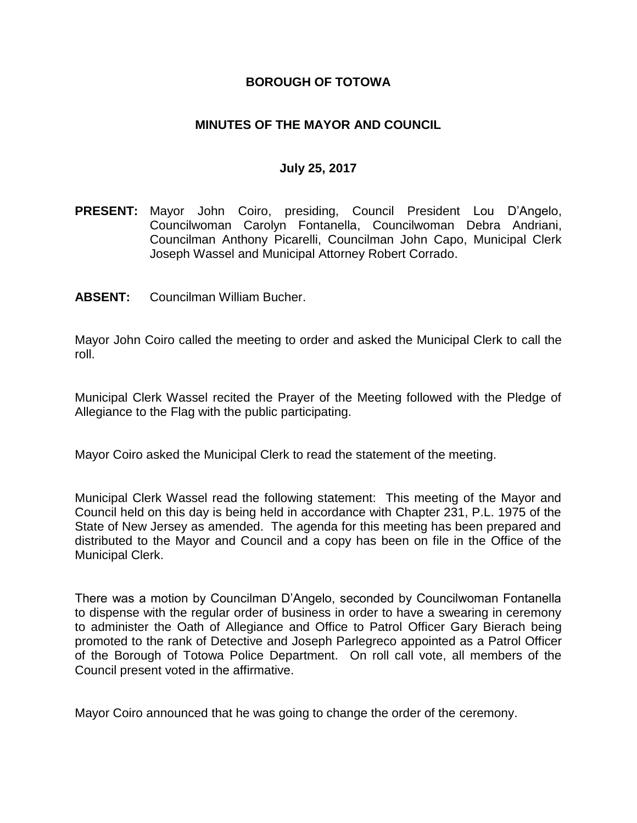#### **BOROUGH OF TOTOWA**

### **MINUTES OF THE MAYOR AND COUNCIL**

#### **July 25, 2017**

- **PRESENT:** Mayor John Coiro, presiding, Council President Lou D'Angelo, Councilwoman Carolyn Fontanella, Councilwoman Debra Andriani, Councilman Anthony Picarelli, Councilman John Capo, Municipal Clerk Joseph Wassel and Municipal Attorney Robert Corrado.
- **ABSENT:** Councilman William Bucher.

Mayor John Coiro called the meeting to order and asked the Municipal Clerk to call the roll.

Municipal Clerk Wassel recited the Prayer of the Meeting followed with the Pledge of Allegiance to the Flag with the public participating.

Mayor Coiro asked the Municipal Clerk to read the statement of the meeting.

Municipal Clerk Wassel read the following statement: This meeting of the Mayor and Council held on this day is being held in accordance with Chapter 231, P.L. 1975 of the State of New Jersey as amended. The agenda for this meeting has been prepared and distributed to the Mayor and Council and a copy has been on file in the Office of the Municipal Clerk.

There was a motion by Councilman D'Angelo, seconded by Councilwoman Fontanella to dispense with the regular order of business in order to have a swearing in ceremony to administer the Oath of Allegiance and Office to Patrol Officer Gary Bierach being promoted to the rank of Detective and Joseph Parlegreco appointed as a Patrol Officer of the Borough of Totowa Police Department. On roll call vote, all members of the Council present voted in the affirmative.

Mayor Coiro announced that he was going to change the order of the ceremony.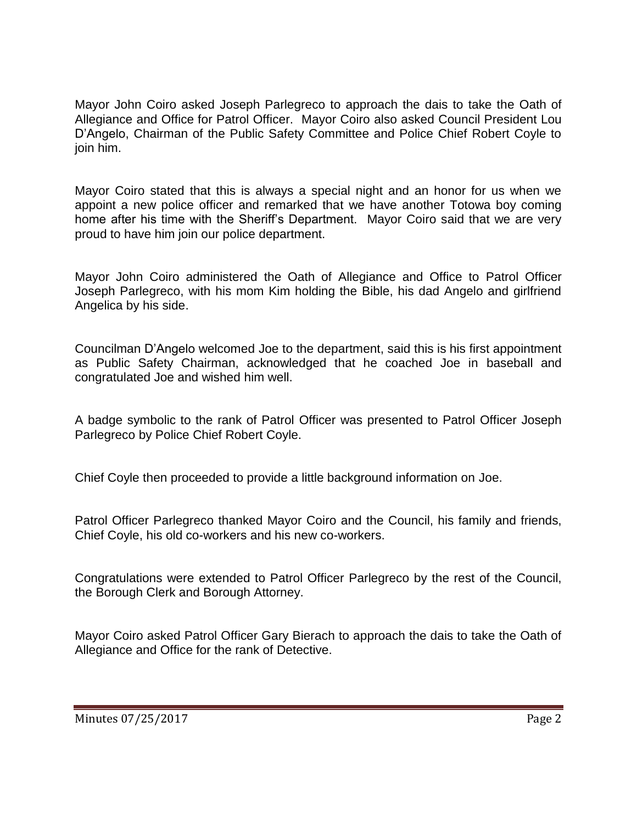Mayor John Coiro asked Joseph Parlegreco to approach the dais to take the Oath of Allegiance and Office for Patrol Officer. Mayor Coiro also asked Council President Lou D'Angelo, Chairman of the Public Safety Committee and Police Chief Robert Coyle to join him.

Mayor Coiro stated that this is always a special night and an honor for us when we appoint a new police officer and remarked that we have another Totowa boy coming home after his time with the Sheriff's Department. Mayor Coiro said that we are very proud to have him join our police department.

Mayor John Coiro administered the Oath of Allegiance and Office to Patrol Officer Joseph Parlegreco, with his mom Kim holding the Bible, his dad Angelo and girlfriend Angelica by his side.

Councilman D'Angelo welcomed Joe to the department, said this is his first appointment as Public Safety Chairman, acknowledged that he coached Joe in baseball and congratulated Joe and wished him well.

A badge symbolic to the rank of Patrol Officer was presented to Patrol Officer Joseph Parlegreco by Police Chief Robert Coyle.

Chief Coyle then proceeded to provide a little background information on Joe.

Patrol Officer Parlegreco thanked Mayor Coiro and the Council, his family and friends, Chief Coyle, his old co-workers and his new co-workers.

Congratulations were extended to Patrol Officer Parlegreco by the rest of the Council, the Borough Clerk and Borough Attorney.

Mayor Coiro asked Patrol Officer Gary Bierach to approach the dais to take the Oath of Allegiance and Office for the rank of Detective.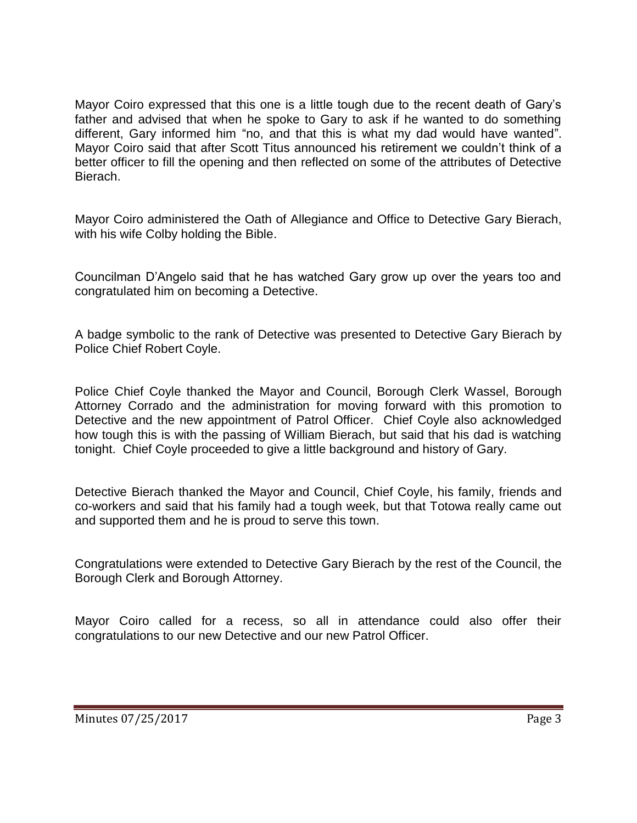Mayor Coiro expressed that this one is a little tough due to the recent death of Gary's father and advised that when he spoke to Gary to ask if he wanted to do something different, Gary informed him "no, and that this is what my dad would have wanted". Mayor Coiro said that after Scott Titus announced his retirement we couldn't think of a better officer to fill the opening and then reflected on some of the attributes of Detective Bierach.

Mayor Coiro administered the Oath of Allegiance and Office to Detective Gary Bierach, with his wife Colby holding the Bible.

Councilman D'Angelo said that he has watched Gary grow up over the years too and congratulated him on becoming a Detective.

A badge symbolic to the rank of Detective was presented to Detective Gary Bierach by Police Chief Robert Coyle.

Police Chief Coyle thanked the Mayor and Council, Borough Clerk Wassel, Borough Attorney Corrado and the administration for moving forward with this promotion to Detective and the new appointment of Patrol Officer. Chief Coyle also acknowledged how tough this is with the passing of William Bierach, but said that his dad is watching tonight. Chief Coyle proceeded to give a little background and history of Gary.

Detective Bierach thanked the Mayor and Council, Chief Coyle, his family, friends and co-workers and said that his family had a tough week, but that Totowa really came out and supported them and he is proud to serve this town.

Congratulations were extended to Detective Gary Bierach by the rest of the Council, the Borough Clerk and Borough Attorney.

Mayor Coiro called for a recess, so all in attendance could also offer their congratulations to our new Detective and our new Patrol Officer.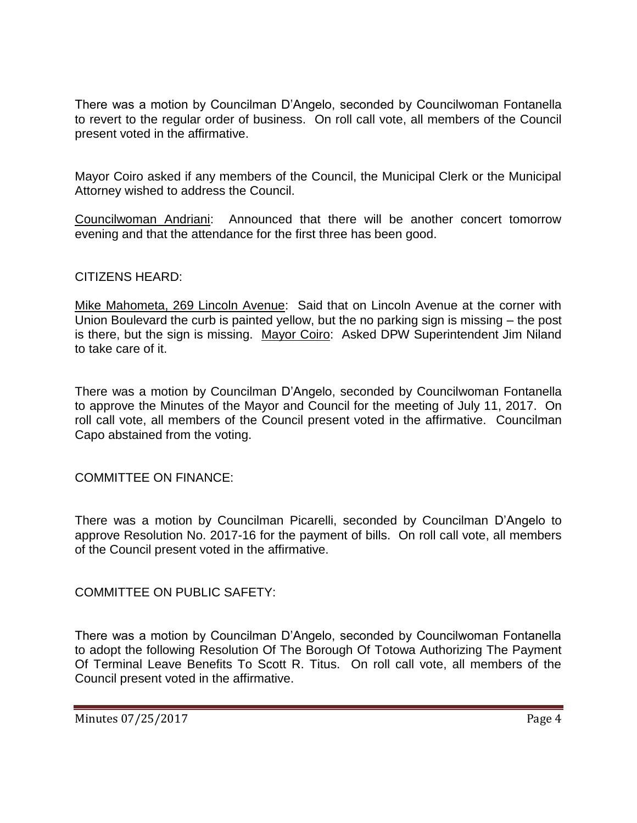There was a motion by Councilman D'Angelo, seconded by Councilwoman Fontanella to revert to the regular order of business. On roll call vote, all members of the Council present voted in the affirmative.

Mayor Coiro asked if any members of the Council, the Municipal Clerk or the Municipal Attorney wished to address the Council.

Councilwoman Andriani: Announced that there will be another concert tomorrow evening and that the attendance for the first three has been good.

### CITIZENS HEARD:

Mike Mahometa, 269 Lincoln Avenue: Said that on Lincoln Avenue at the corner with Union Boulevard the curb is painted yellow, but the no parking sign is missing – the post is there, but the sign is missing. Mayor Coiro: Asked DPW Superintendent Jim Niland to take care of it.

There was a motion by Councilman D'Angelo, seconded by Councilwoman Fontanella to approve the Minutes of the Mayor and Council for the meeting of July 11, 2017. On roll call vote, all members of the Council present voted in the affirmative. Councilman Capo abstained from the voting.

COMMITTEE ON FINANCE:

There was a motion by Councilman Picarelli, seconded by Councilman D'Angelo to approve Resolution No. 2017-16 for the payment of bills. On roll call vote, all members of the Council present voted in the affirmative.

COMMITTEE ON PUBLIC SAFETY:

There was a motion by Councilman D'Angelo, seconded by Councilwoman Fontanella to adopt the following Resolution Of The Borough Of Totowa Authorizing The Payment Of Terminal Leave Benefits To Scott R. Titus. On roll call vote, all members of the Council present voted in the affirmative.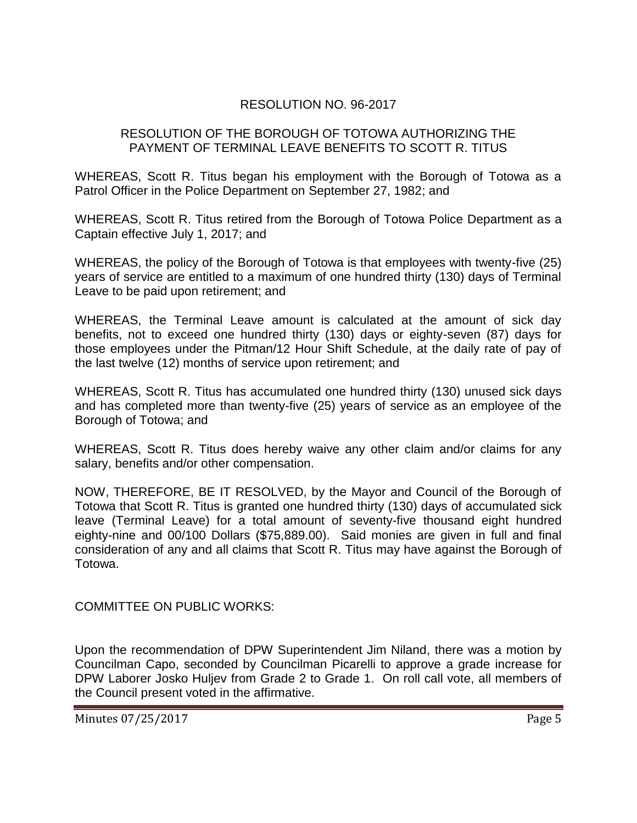## RESOLUTION NO. 96-2017

### RESOLUTION OF THE BOROUGH OF TOTOWA AUTHORIZING THE PAYMENT OF TERMINAL LEAVE BENEFITS TO SCOTT R. TITUS

WHEREAS, Scott R. Titus began his employment with the Borough of Totowa as a Patrol Officer in the Police Department on September 27, 1982; and

WHEREAS, Scott R. Titus retired from the Borough of Totowa Police Department as a Captain effective July 1, 2017; and

WHEREAS, the policy of the Borough of Totowa is that employees with twenty-five (25) years of service are entitled to a maximum of one hundred thirty (130) days of Terminal Leave to be paid upon retirement; and

WHEREAS, the Terminal Leave amount is calculated at the amount of sick day benefits, not to exceed one hundred thirty (130) days or eighty-seven (87) days for those employees under the Pitman/12 Hour Shift Schedule, at the daily rate of pay of the last twelve (12) months of service upon retirement; and

WHEREAS, Scott R. Titus has accumulated one hundred thirty (130) unused sick days and has completed more than twenty-five (25) years of service as an employee of the Borough of Totowa; and

WHEREAS, Scott R. Titus does hereby waive any other claim and/or claims for any salary, benefits and/or other compensation.

NOW, THEREFORE, BE IT RESOLVED, by the Mayor and Council of the Borough of Totowa that Scott R. Titus is granted one hundred thirty (130) days of accumulated sick leave (Terminal Leave) for a total amount of seventy-five thousand eight hundred eighty-nine and 00/100 Dollars (\$75,889.00). Said monies are given in full and final consideration of any and all claims that Scott R. Titus may have against the Borough of Totowa.

COMMITTEE ON PUBLIC WORKS:

Upon the recommendation of DPW Superintendent Jim Niland, there was a motion by Councilman Capo, seconded by Councilman Picarelli to approve a grade increase for DPW Laborer Josko Huljev from Grade 2 to Grade 1. On roll call vote, all members of the Council present voted in the affirmative.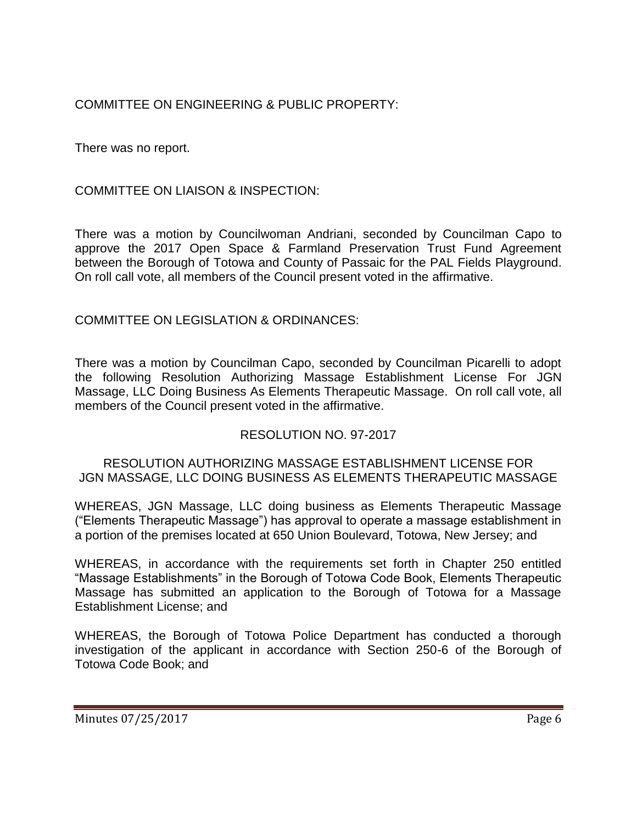COMMITTEE ON ENGINEERING & PUBLIC PROPERTY:

There was no report.

COMMITTEE ON LIAISON & INSPECTION:

There was a motion by Councilwoman Andriani, seconded by Councilman Capo to approve the 2017 Open Space & Farmland Preservation Trust Fund Agreement between the Borough of Totowa and County of Passaic for the PAL Fields Playground. On roll call vote, all members of the Council present voted in the affirmative.

COMMITTEE ON LEGISLATION & ORDINANCES:

There was a motion by Councilman Capo, seconded by Councilman Picarelli to adopt the following Resolution Authorizing Massage Establishment License For JGN Massage, LLC Doing Business As Elements Therapeutic Massage. On roll call vote, all members of the Council present voted in the affirmative.

# RESOLUTION NO. 97-2017

### RESOLUTION AUTHORIZING MASSAGE ESTABLISHMENT LICENSE FOR JGN MASSAGE, LLC DOING BUSINESS AS ELEMENTS THERAPEUTIC MASSAGE

WHEREAS, JGN Massage, LLC doing business as Elements Therapeutic Massage ("Elements Therapeutic Massage") has approval to operate a massage establishment in a portion of the premises located at 650 Union Boulevard, Totowa, New Jersey; and

WHEREAS, in accordance with the requirements set forth in Chapter 250 entitled "Massage Establishments" in the Borough of Totowa Code Book, Elements Therapeutic Massage has submitted an application to the Borough of Totowa for a Massage Establishment License; and

WHEREAS, the Borough of Totowa Police Department has conducted a thorough investigation of the applicant in accordance with Section 250-6 of the Borough of Totowa Code Book; and

Minutes 07/25/2017 Page 6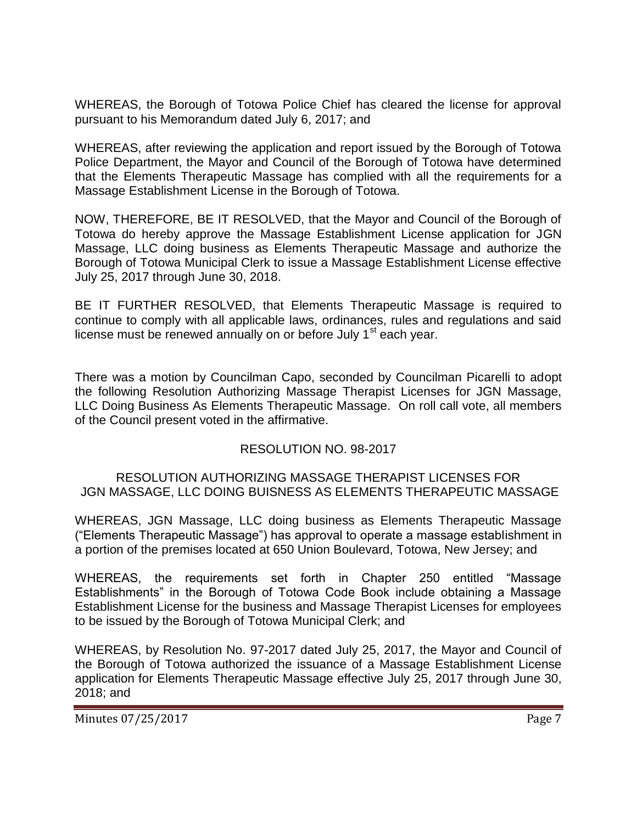WHEREAS, the Borough of Totowa Police Chief has cleared the license for approval pursuant to his Memorandum dated July 6, 2017; and

WHEREAS, after reviewing the application and report issued by the Borough of Totowa Police Department, the Mayor and Council of the Borough of Totowa have determined that the Elements Therapeutic Massage has complied with all the requirements for a Massage Establishment License in the Borough of Totowa.

NOW, THEREFORE, BE IT RESOLVED, that the Mayor and Council of the Borough of Totowa do hereby approve the Massage Establishment License application for JGN Massage, LLC doing business as Elements Therapeutic Massage and authorize the Borough of Totowa Municipal Clerk to issue a Massage Establishment License effective July 25, 2017 through June 30, 2018.

BE IT FURTHER RESOLVED, that Elements Therapeutic Massage is required to continue to comply with all applicable laws, ordinances, rules and regulations and said license must be renewed annually on or before July  $1<sup>st</sup>$  each year.

There was a motion by Councilman Capo, seconded by Councilman Picarelli to adopt the following Resolution Authorizing Massage Therapist Licenses for JGN Massage, LLC Doing Business As Elements Therapeutic Massage. On roll call vote, all members of the Council present voted in the affirmative.

## RESOLUTION NO. 98-2017

### RESOLUTION AUTHORIZING MASSAGE THERAPIST LICENSES FOR JGN MASSAGE, LLC DOING BUISNESS AS ELEMENTS THERAPEUTIC MASSAGE

WHEREAS, JGN Massage, LLC doing business as Elements Therapeutic Massage ("Elements Therapeutic Massage") has approval to operate a massage establishment in a portion of the premises located at 650 Union Boulevard, Totowa, New Jersey; and

WHEREAS, the requirements set forth in Chapter 250 entitled "Massage Establishments" in the Borough of Totowa Code Book include obtaining a Massage Establishment License for the business and Massage Therapist Licenses for employees to be issued by the Borough of Totowa Municipal Clerk; and

WHEREAS, by Resolution No. 97-2017 dated July 25, 2017, the Mayor and Council of the Borough of Totowa authorized the issuance of a Massage Establishment License application for Elements Therapeutic Massage effective July 25, 2017 through June 30, 2018; and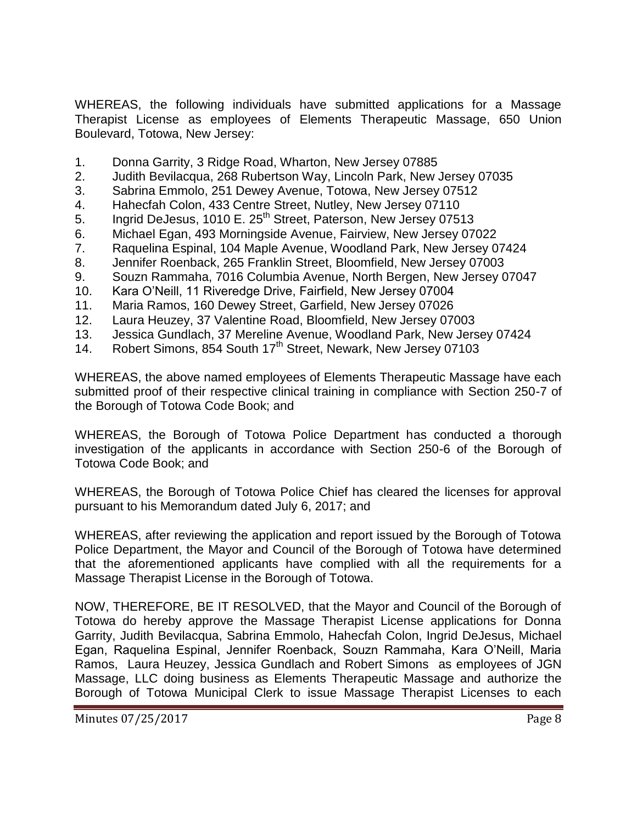WHEREAS, the following individuals have submitted applications for a Massage Therapist License as employees of Elements Therapeutic Massage, 650 Union Boulevard, Totowa, New Jersey:

- 1. Donna Garrity, 3 Ridge Road, Wharton, New Jersey 07885
- 2. Judith Bevilacqua, 268 Rubertson Way, Lincoln Park, New Jersey 07035
- 3. Sabrina Emmolo, 251 Dewey Avenue, Totowa, New Jersey 07512
- 4. Hahecfah Colon, 433 Centre Street, Nutley, New Jersey 07110
- 5. Ingrid DeJesus, 1010 E. 25<sup>th</sup> Street, Paterson, New Jersey 07513
- 6. Michael Egan, 493 Morningside Avenue, Fairview, New Jersey 07022
- 7. Raquelina Espinal, 104 Maple Avenue, Woodland Park, New Jersey 07424
- 8. Jennifer Roenback, 265 Franklin Street, Bloomfield, New Jersey 07003
- 9. Souzn Rammaha, 7016 Columbia Avenue, North Bergen, New Jersey 07047
- 10. Kara O'Neill, 11 Riveredge Drive, Fairfield, New Jersey 07004
- 11. Maria Ramos, 160 Dewey Street, Garfield, New Jersey 07026
- 12. Laura Heuzey, 37 Valentine Road, Bloomfield, New Jersey 07003
- 13. Jessica Gundlach, 37 Mereline Avenue, Woodland Park, New Jersey 07424
- 14. Robert Simons, 854 South 17<sup>th</sup> Street, Newark, New Jersey 07103

WHEREAS, the above named employees of Elements Therapeutic Massage have each submitted proof of their respective clinical training in compliance with Section 250-7 of the Borough of Totowa Code Book; and

WHEREAS, the Borough of Totowa Police Department has conducted a thorough investigation of the applicants in accordance with Section 250-6 of the Borough of Totowa Code Book; and

WHEREAS, the Borough of Totowa Police Chief has cleared the licenses for approval pursuant to his Memorandum dated July 6, 2017; and

WHEREAS, after reviewing the application and report issued by the Borough of Totowa Police Department, the Mayor and Council of the Borough of Totowa have determined that the aforementioned applicants have complied with all the requirements for a Massage Therapist License in the Borough of Totowa.

NOW, THEREFORE, BE IT RESOLVED, that the Mayor and Council of the Borough of Totowa do hereby approve the Massage Therapist License applications for Donna Garrity, Judith Bevilacqua, Sabrina Emmolo, Hahecfah Colon, Ingrid DeJesus, Michael Egan, Raquelina Espinal, Jennifer Roenback, Souzn Rammaha, Kara O'Neill, Maria Ramos, Laura Heuzey, Jessica Gundlach and Robert Simons as employees of JGN Massage, LLC doing business as Elements Therapeutic Massage and authorize the Borough of Totowa Municipal Clerk to issue Massage Therapist Licenses to each